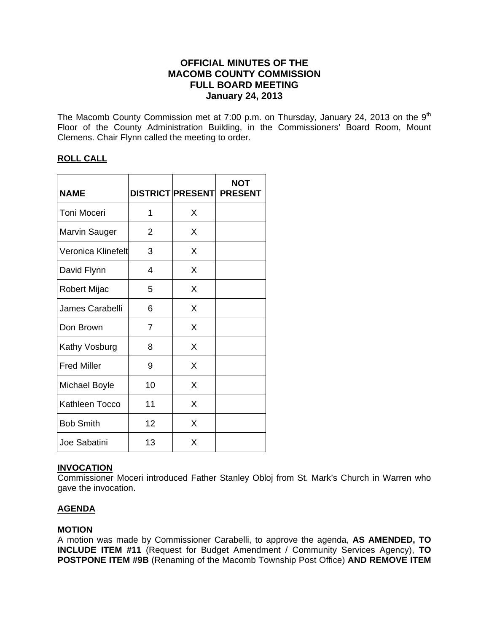# **OFFICIAL MINUTES OF THE MACOMB COUNTY COMMISSION FULL BOARD MEETING January 24, 2013**

The Macomb County Commission met at 7:00 p.m. on Thursday, January 24, 2013 on the  $9<sup>th</sup>$ Floor of the County Administration Building, in the Commissioners' Board Room, Mount Clemens. Chair Flynn called the meeting to order.

# **ROLL CALL**

| <b>NAME</b>          |    |   | <b>NOT</b><br><b>DISTRICT PRESENT PRESENT</b> |
|----------------------|----|---|-----------------------------------------------|
| Toni Moceri          | 1  | X |                                               |
| <b>Marvin Sauger</b> | 2  | X |                                               |
| Veronica Klinefelt   | 3  | X |                                               |
| David Flynn          | 4  | X |                                               |
| Robert Mijac         | 5  | X |                                               |
| James Carabelli      | 6  | X |                                               |
| Don Brown            | 7  | X |                                               |
| Kathy Vosburg        | 8  | X |                                               |
| <b>Fred Miller</b>   | 9  | X |                                               |
| <b>Michael Boyle</b> | 10 | X |                                               |
| Kathleen Tocco       | 11 | X |                                               |
| <b>Bob Smith</b>     | 12 | X |                                               |
| Joe Sabatini         | 13 | X |                                               |

# **INVOCATION**

Commissioner Moceri introduced Father Stanley Obloj from St. Mark's Church in Warren who gave the invocation.

# **AGENDA**

# **MOTION**

A motion was made by Commissioner Carabelli, to approve the agenda, **AS AMENDED, TO INCLUDE ITEM #11** (Request for Budget Amendment / Community Services Agency), **TO POSTPONE ITEM #9B** (Renaming of the Macomb Township Post Office) **AND REMOVE ITEM**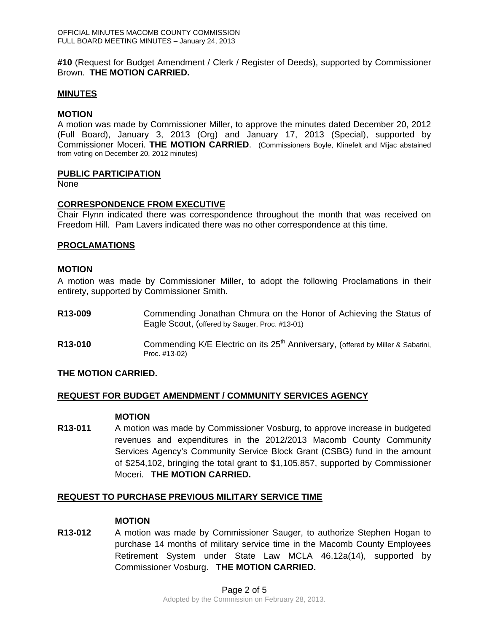**#10** (Request for Budget Amendment / Clerk / Register of Deeds), supported by Commissioner Brown. **THE MOTION CARRIED.** 

### **MINUTES**

### **MOTION**

A motion was made by Commissioner Miller, to approve the minutes dated December 20, 2012 (Full Board), January 3, 2013 (Org) and January 17, 2013 (Special), supported by Commissioner Moceri. **THE MOTION CARRIED**. (Commissioners Boyle, Klinefelt and Mijac abstained from voting on December 20, 2012 minutes)

### **PUBLIC PARTICIPATION**

None

### **CORRESPONDENCE FROM EXECUTIVE**

Chair Flynn indicated there was correspondence throughout the month that was received on Freedom Hill. Pam Lavers indicated there was no other correspondence at this time.

### **PROCLAMATIONS**

### **MOTION**

A motion was made by Commissioner Miller, to adopt the following Proclamations in their entirety, supported by Commissioner Smith.

- **R13-009** Commending Jonathan Chmura on the Honor of Achieving the Status of Eagle Scout, (offered by Sauger, Proc. #13-01)
- **R13-010** Commending K/E Electric on its 25<sup>th</sup> Anniversary, (offered by Miller & Sabatini, Proc. #13-02)

### **THE MOTION CARRIED.**

### **REQUEST FOR BUDGET AMENDMENT / COMMUNITY SERVICES AGENCY**

### **MOTION**

**R13-011** A motion was made by Commissioner Vosburg, to approve increase in budgeted revenues and expenditures in the 2012/2013 Macomb County Community Services Agency's Community Service Block Grant (CSBG) fund in the amount of \$254,102, bringing the total grant to \$1,105.857, supported by Commissioner Moceri. **THE MOTION CARRIED.** 

# **REQUEST TO PURCHASE PREVIOUS MILITARY SERVICE TIME**

### **MOTION**

**R13-012** A motion was made by Commissioner Sauger, to authorize Stephen Hogan to purchase 14 months of military service time in the Macomb County Employees Retirement System under State Law MCLA 46.12a(14), supported by Commissioner Vosburg. **THE MOTION CARRIED.**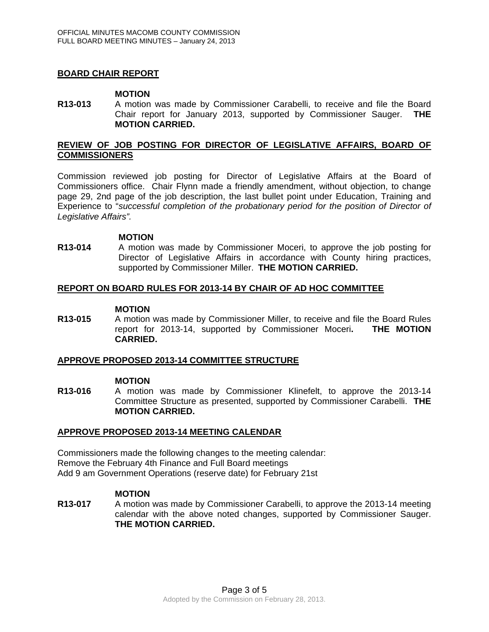# **BOARD CHAIR REPORT**

#### **MOTION**

**R13-013** A motion was made by Commissioner Carabelli, to receive and file the Board Chair report for January 2013, supported by Commissioner Sauger. **THE MOTION CARRIED.** 

### **REVIEW OF JOB POSTING FOR DIRECTOR OF LEGISLATIVE AFFAIRS, BOARD OF COMMISSIONERS**

Commission reviewed job posting for Director of Legislative Affairs at the Board of Commissioners office. Chair Flynn made a friendly amendment, without objection, to change page 29, 2nd page of the job description, the last bullet point under Education, Training and Experience to "*successful completion of the probationary period for the position of Director of Legislative Affairs".* 

#### **MOTION**

**R13-014** A motion was made by Commissioner Moceri, to approve the job posting for Director of Legislative Affairs in accordance with County hiring practices, supported by Commissioner Miller. **THE MOTION CARRIED.** 

### **REPORT ON BOARD RULES FOR 2013-14 BY CHAIR OF AD HOC COMMITTEE**

#### **MOTION**

**R13-015** A motion was made by Commissioner Miller, to receive and file the Board Rules report for 2013-14, supported by Commissioner Moceri**. THE MOTION CARRIED.** 

### **APPROVE PROPOSED 2013-14 COMMITTEE STRUCTURE**

#### **MOTION**

**R13-016** A motion was made by Commissioner Klinefelt, to approve the 2013-14 Committee Structure as presented, supported by Commissioner Carabelli. **THE MOTION CARRIED.**

### **APPROVE PROPOSED 2013-14 MEETING CALENDAR**

Commissioners made the following changes to the meeting calendar: Remove the February 4th Finance and Full Board meetings Add 9 am Government Operations (reserve date) for February 21st

## **MOTION**

**R13-017** A motion was made by Commissioner Carabelli, to approve the 2013-14 meeting calendar with the above noted changes, supported by Commissioner Sauger. **THE MOTION CARRIED.**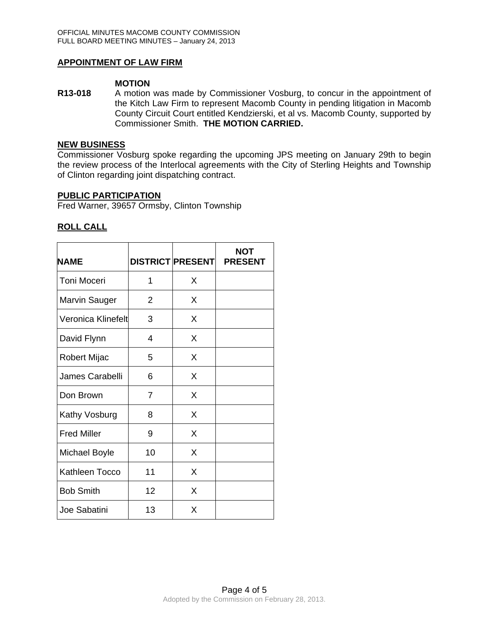## **APPOINTMENT OF LAW FIRM**

### **MOTION**

**R13-018** A motion was made by Commissioner Vosburg, to concur in the appointment of the Kitch Law Firm to represent Macomb County in pending litigation in Macomb County Circuit Court entitled Kendzierski, et al vs. Macomb County, supported by Commissioner Smith. **THE MOTION CARRIED.** 

#### **NEW BUSINESS**

Commissioner Vosburg spoke regarding the upcoming JPS meeting on January 29th to begin the review process of the Interlocal agreements with the City of Sterling Heights and Township of Clinton regarding joint dispatching contract.

### **PUBLIC PARTICIPATION**

Fred Warner, 39657 Ormsby, Clinton Township

### **ROLL CALL**

| <b>NAME</b>          |                | <b>DISTRICT PRESENT</b> | <b>NOT</b><br><b>PRESENT</b> |
|----------------------|----------------|-------------------------|------------------------------|
| Toni Moceri          | 1              | X                       |                              |
| <b>Marvin Sauger</b> | $\overline{2}$ | X                       |                              |
| Veronica Klinefelt   | 3              | X                       |                              |
| David Flynn          | 4              | X                       |                              |
| Robert Mijac         | 5              | X                       |                              |
| James Carabelli      | 6              | X                       |                              |
| Don Brown            | 7              | X                       |                              |
| Kathy Vosburg        | 8              | X                       |                              |
| <b>Fred Miller</b>   | 9              | X                       |                              |
| Michael Boyle        | 10             | X                       |                              |
| Kathleen Tocco       | 11             | X                       |                              |
| <b>Bob Smith</b>     | 12             | X                       |                              |
| Joe Sabatini         | 13             | X                       |                              |